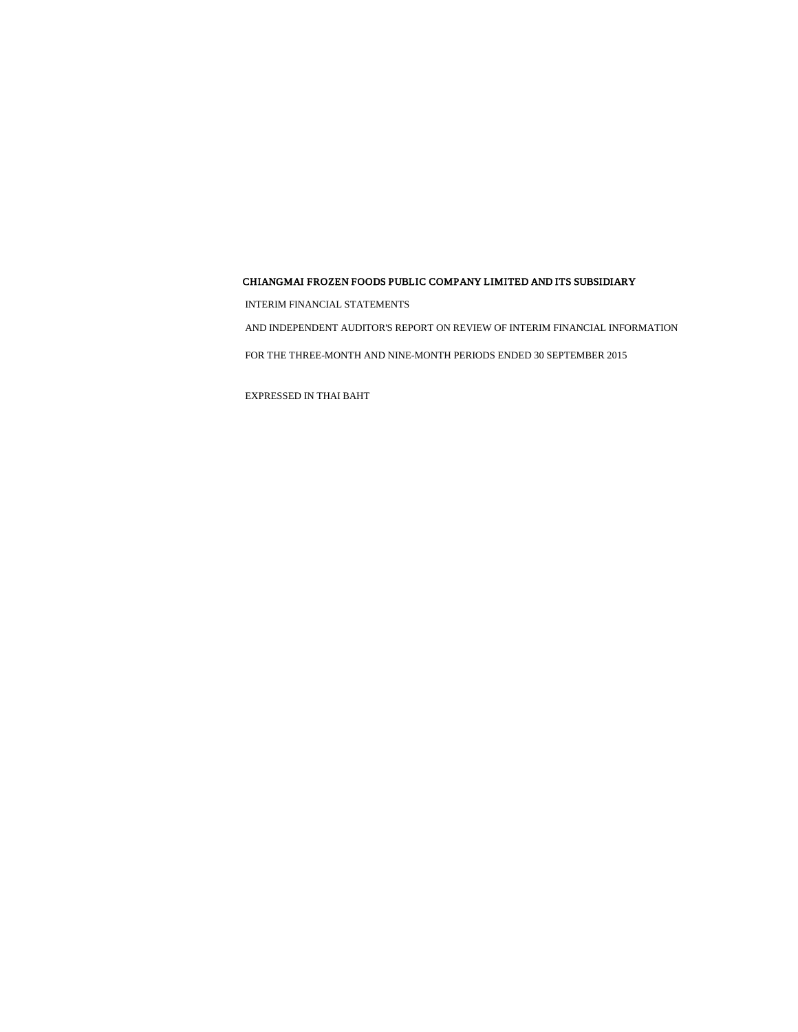INTERIM FINANCIAL STATEMENTS

AND INDEPENDENT AUDITOR'S REPORT ON REVIEW OF INTERIM FINANCIAL INFORMATION

FOR THE THREE-MONTH AND NINE-MONTH PERIODS ENDED 30 SEPTEMBER 2015

EXPRESSED IN THAI BAHT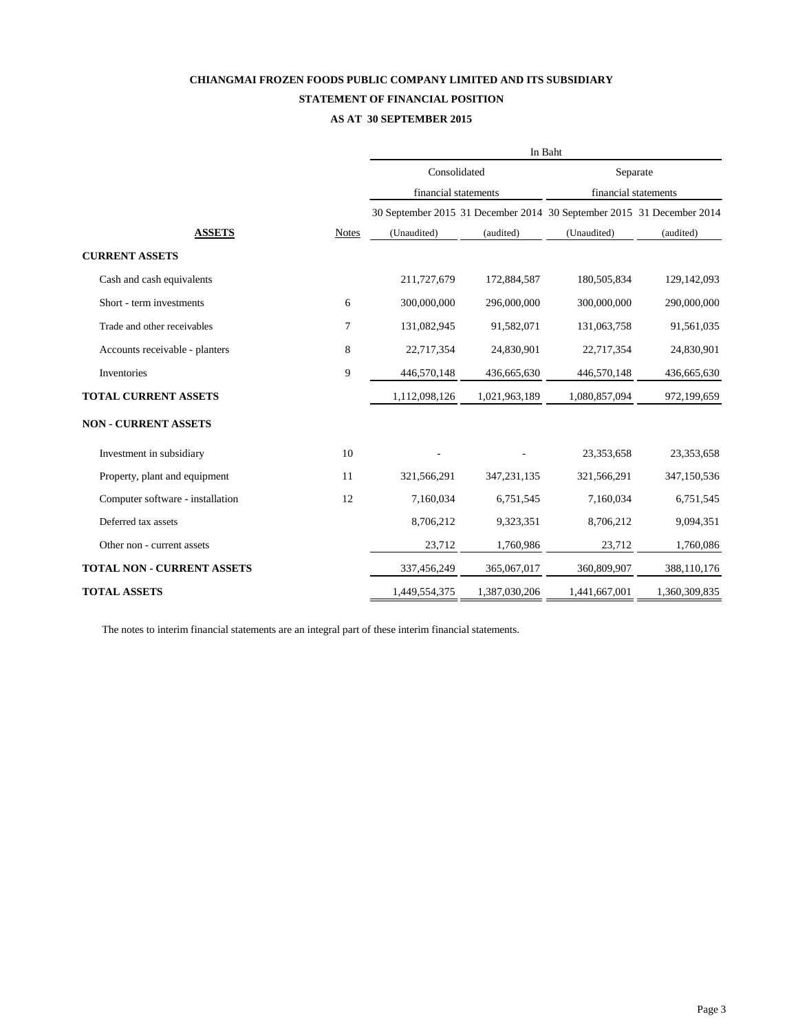## **CHIANGMAI FROZEN FOODS PUBLIC COMPANY LIMITED AND ITS SUBSIDIARY STATEMENT OF FINANCIAL POSITION**

#### **AS AT 30 SEPTEMBER 2015**

|                                   |                  | In Baht              |               |                                                                       |               |  |  |  |
|-----------------------------------|------------------|----------------------|---------------|-----------------------------------------------------------------------|---------------|--|--|--|
|                                   |                  | Consolidated         |               | Separate                                                              |               |  |  |  |
|                                   |                  | financial statements |               | financial statements                                                  |               |  |  |  |
|                                   |                  |                      |               | 30 September 2015 31 December 2014 30 September 2015 31 December 2014 |               |  |  |  |
| <b>ASSETS</b>                     | <b>Notes</b>     | (Unaudited)          | (audited)     | (Unaudited)                                                           | (audited)     |  |  |  |
| <b>CURRENT ASSETS</b>             |                  |                      |               |                                                                       |               |  |  |  |
| Cash and cash equivalents         |                  | 211,727,679          | 172,884,587   | 180,505,834                                                           | 129,142,093   |  |  |  |
| Short - term investments          | 6                | 300,000,000          | 296,000,000   | 300,000,000                                                           | 290,000,000   |  |  |  |
| Trade and other receivables       | $\boldsymbol{7}$ | 131,082,945          | 91,582,071    | 131,063,758                                                           | 91,561,035    |  |  |  |
| Accounts receivable - planters    | $8\,$            | 22,717,354           | 24,830,901    | 22,717,354                                                            | 24,830,901    |  |  |  |
| Inventories                       | 9                | 446,570,148          | 436,665,630   | 446,570,148                                                           | 436,665,630   |  |  |  |
| <b>TOTAL CURRENT ASSETS</b>       |                  | 1,112,098,126        | 1,021,963,189 | 1,080,857,094                                                         | 972,199,659   |  |  |  |
| <b>NON - CURRENT ASSETS</b>       |                  |                      |               |                                                                       |               |  |  |  |
| Investment in subsidiary          | 10               |                      |               | 23,353,658                                                            | 23,353,658    |  |  |  |
| Property, plant and equipment     | 11               | 321,566,291          | 347, 231, 135 | 321,566,291                                                           | 347,150,536   |  |  |  |
| Computer software - installation  | 12               | 7,160,034            | 6,751,545     | 7,160,034                                                             | 6,751,545     |  |  |  |
| Deferred tax assets               |                  | 8,706,212            | 9,323,351     | 8,706,212                                                             | 9,094,351     |  |  |  |
| Other non - current assets        |                  | 23,712               | 1,760,986     | 23,712                                                                | 1,760,086     |  |  |  |
| <b>TOTAL NON - CURRENT ASSETS</b> |                  | 337,456,249          | 365,067,017   | 360,809,907                                                           | 388,110,176   |  |  |  |
| <b>TOTAL ASSETS</b>               |                  | 1,449,554,375        | 1,387,030,206 | 1,441,667,001                                                         | 1,360,309,835 |  |  |  |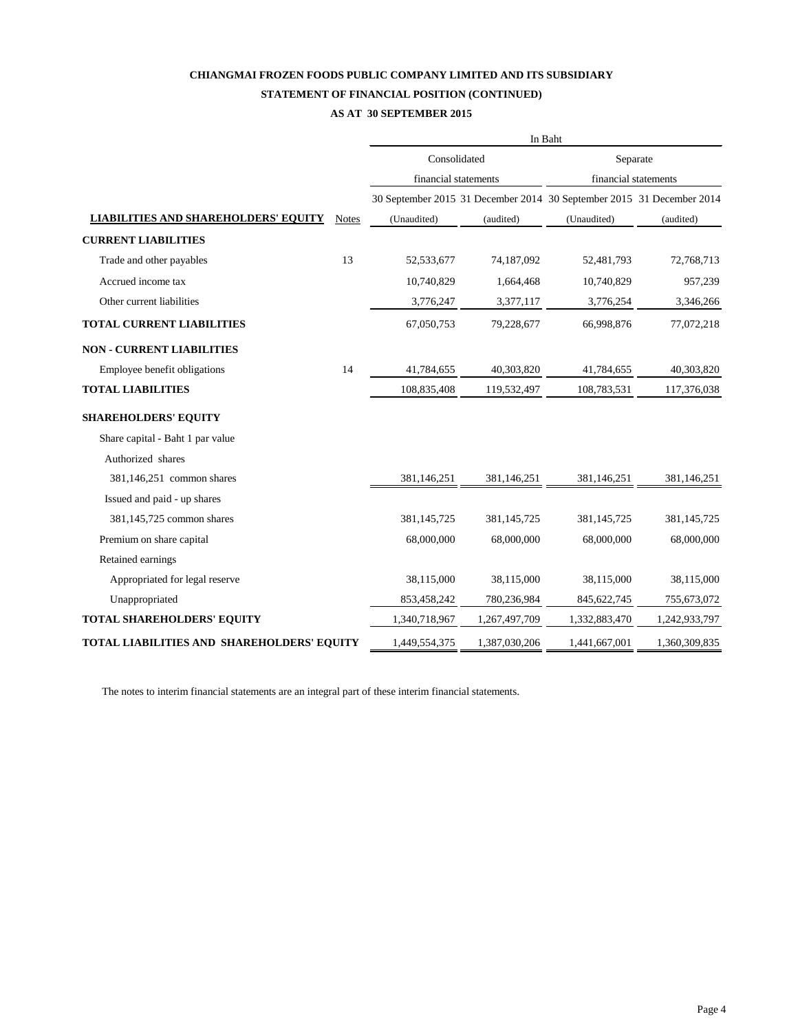#### **STATEMENT OF FINANCIAL POSITION (CONTINUED)**

#### **AS AT 30 SEPTEMBER 2015**

|                                             |              | In Baht              |               |                                                                       |               |  |  |  |
|---------------------------------------------|--------------|----------------------|---------------|-----------------------------------------------------------------------|---------------|--|--|--|
|                                             |              | Consolidated         |               | Separate                                                              |               |  |  |  |
|                                             |              | financial statements |               | financial statements                                                  |               |  |  |  |
|                                             |              |                      |               | 30 September 2015 31 December 2014 30 September 2015 31 December 2014 |               |  |  |  |
| <b>LIABILITIES AND SHAREHOLDERS' EQUITY</b> | <b>Notes</b> | (Unaudited)          | (audited)     | (Unaudited)                                                           | (audited)     |  |  |  |
| <b>CURRENT LIABILITIES</b>                  |              |                      |               |                                                                       |               |  |  |  |
| Trade and other payables                    | 13           | 52,533,677           | 74,187,092    | 52,481,793                                                            | 72,768,713    |  |  |  |
| Accrued income tax                          |              | 10,740,829           | 1,664,468     | 10,740,829                                                            | 957,239       |  |  |  |
| Other current liabilities                   |              | 3,776,247            | 3,377,117     | 3,776,254                                                             | 3,346,266     |  |  |  |
| <b>TOTAL CURRENT LIABILITIES</b>            |              | 67,050,753           | 79,228,677    | 66,998,876                                                            | 77,072,218    |  |  |  |
| <b>NON - CURRENT LIABILITIES</b>            |              |                      |               |                                                                       |               |  |  |  |
| Employee benefit obligations                | 14           | 41,784,655           | 40,303,820    | 41,784,655                                                            | 40,303,820    |  |  |  |
| <b>TOTAL LIABILITIES</b>                    |              | 108,835,408          | 119,532,497   | 108,783,531                                                           | 117,376,038   |  |  |  |
| <b>SHAREHOLDERS' EQUITY</b>                 |              |                      |               |                                                                       |               |  |  |  |
| Share capital - Baht 1 par value            |              |                      |               |                                                                       |               |  |  |  |
| Authorized shares                           |              |                      |               |                                                                       |               |  |  |  |
| 381,146,251 common shares                   |              | 381,146,251          | 381,146,251   | 381,146,251                                                           | 381,146,251   |  |  |  |
| Issued and paid - up shares                 |              |                      |               |                                                                       |               |  |  |  |
| 381,145,725 common shares                   |              | 381,145,725          | 381,145,725   | 381,145,725                                                           | 381,145,725   |  |  |  |
| Premium on share capital                    |              | 68,000,000           | 68,000,000    | 68,000,000                                                            | 68,000,000    |  |  |  |
| Retained earnings                           |              |                      |               |                                                                       |               |  |  |  |
| Appropriated for legal reserve              |              | 38,115,000           | 38,115,000    | 38,115,000                                                            | 38,115,000    |  |  |  |
| Unappropriated                              |              | 853,458,242          | 780,236,984   | 845, 622, 745                                                         | 755,673,072   |  |  |  |
| <b>TOTAL SHAREHOLDERS' EQUITY</b>           |              | 1,340,718,967        | 1,267,497,709 | 1,332,883,470                                                         | 1,242,933,797 |  |  |  |
| TOTAL LIABILITIES AND SHAREHOLDERS' EQUITY  |              | 1,449,554,375        | 1,387,030,206 | 1,441,667,001                                                         | 1,360,309,835 |  |  |  |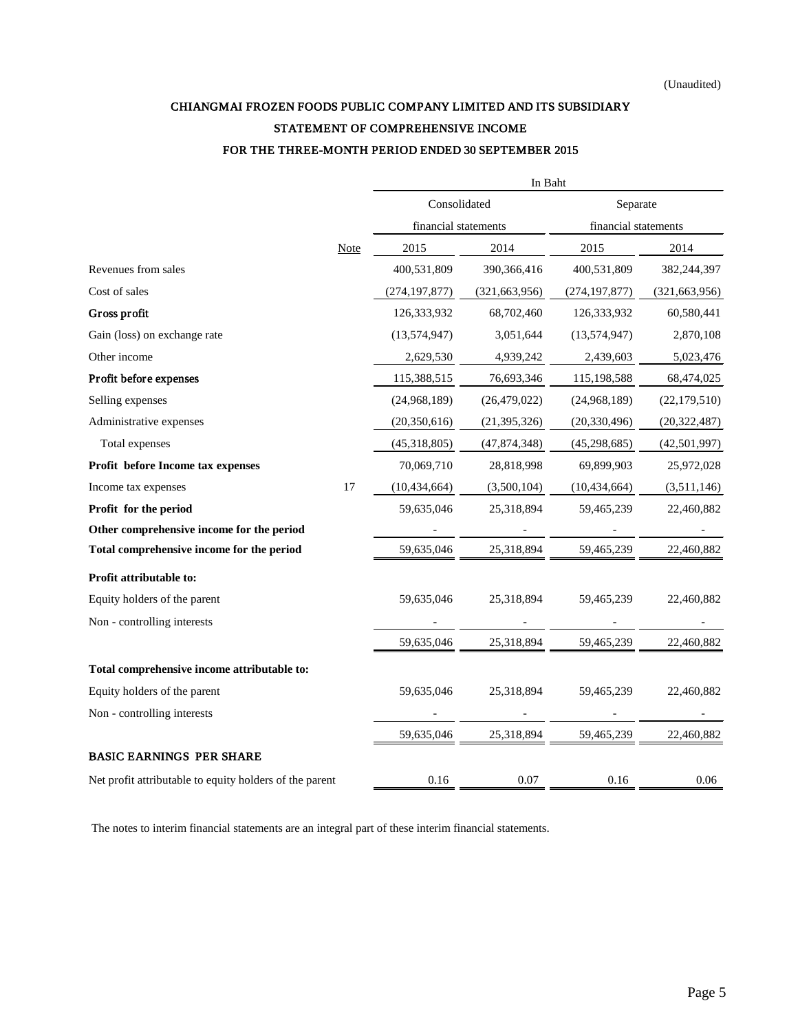## CHIANGMAI FROZEN FOODS PUBLIC COMPANY LIMITED AND ITS SUBSIDIARY STATEMENT OF COMPREHENSIVE INCOME FOR THE THREE-MONTH PERIOD ENDED 30 SEPTEMBER 2015

|                                                         |             |                      | In Baht         |                      |                 |  |
|---------------------------------------------------------|-------------|----------------------|-----------------|----------------------|-----------------|--|
|                                                         |             | Consolidated         |                 | Separate             |                 |  |
|                                                         |             | financial statements |                 | financial statements |                 |  |
|                                                         | <b>Note</b> | 2015                 | 2014            | 2015                 | 2014            |  |
| Revenues from sales                                     |             | 400,531,809          | 390,366,416     | 400,531,809          | 382,244,397     |  |
| Cost of sales                                           |             | (274, 197, 877)      | (321, 663, 956) | (274, 197, 877)      | (321, 663, 956) |  |
| Gross profit                                            |             | 126,333,932          | 68,702,460      | 126,333,932          | 60,580,441      |  |
| Gain (loss) on exchange rate                            |             | (13,574,947)         | 3,051,644       | (13,574,947)         | 2,870,108       |  |
| Other income                                            |             | 2,629,530            | 4,939,242       | 2,439,603            | 5,023,476       |  |
| Profit before expenses                                  |             | 115,388,515          | 76,693,346      | 115,198,588          | 68,474,025      |  |
| Selling expenses                                        |             | (24,968,189)         | (26, 479, 022)  | (24,968,189)         | (22, 179, 510)  |  |
| Administrative expenses                                 |             | (20, 350, 616)       | (21, 395, 326)  | (20, 330, 496)       | (20, 322, 487)  |  |
| Total expenses                                          |             | (45,318,805)         | (47, 874, 348)  | (45, 298, 685)       | (42,501,997)    |  |
| Profit before Income tax expenses                       |             | 70,069,710           | 28,818,998      | 69,899,903           | 25,972,028      |  |
| Income tax expenses                                     | 17          | (10, 434, 664)       | (3,500,104)     | (10, 434, 664)       | (3,511,146)     |  |
| Profit for the period                                   |             | 59,635,046           | 25,318,894      | 59,465,239           | 22,460,882      |  |
| Other comprehensive income for the period               |             |                      |                 |                      |                 |  |
| Total comprehensive income for the period               |             | 59,635,046           | 25,318,894      | 59,465,239           | 22,460,882      |  |
| Profit attributable to:                                 |             |                      |                 |                      |                 |  |
| Equity holders of the parent                            |             | 59,635,046           | 25,318,894      | 59,465,239           | 22,460,882      |  |
| Non - controlling interests                             |             |                      |                 |                      |                 |  |
|                                                         |             | 59,635,046           | 25,318,894      | 59,465,239           | 22,460,882      |  |
| Total comprehensive income attributable to:             |             |                      |                 |                      |                 |  |
| Equity holders of the parent                            |             | 59,635,046           | 25,318,894      | 59,465,239           | 22,460,882      |  |
| Non - controlling interests                             |             |                      |                 |                      |                 |  |
|                                                         |             | 59,635,046           | 25,318,894      | 59,465,239           | 22,460,882      |  |
| <b>BASIC EARNINGS PER SHARE</b>                         |             |                      |                 |                      |                 |  |
| Net profit attributable to equity holders of the parent |             | 0.16                 | 0.07            | 0.16                 | 0.06            |  |
|                                                         |             |                      |                 |                      |                 |  |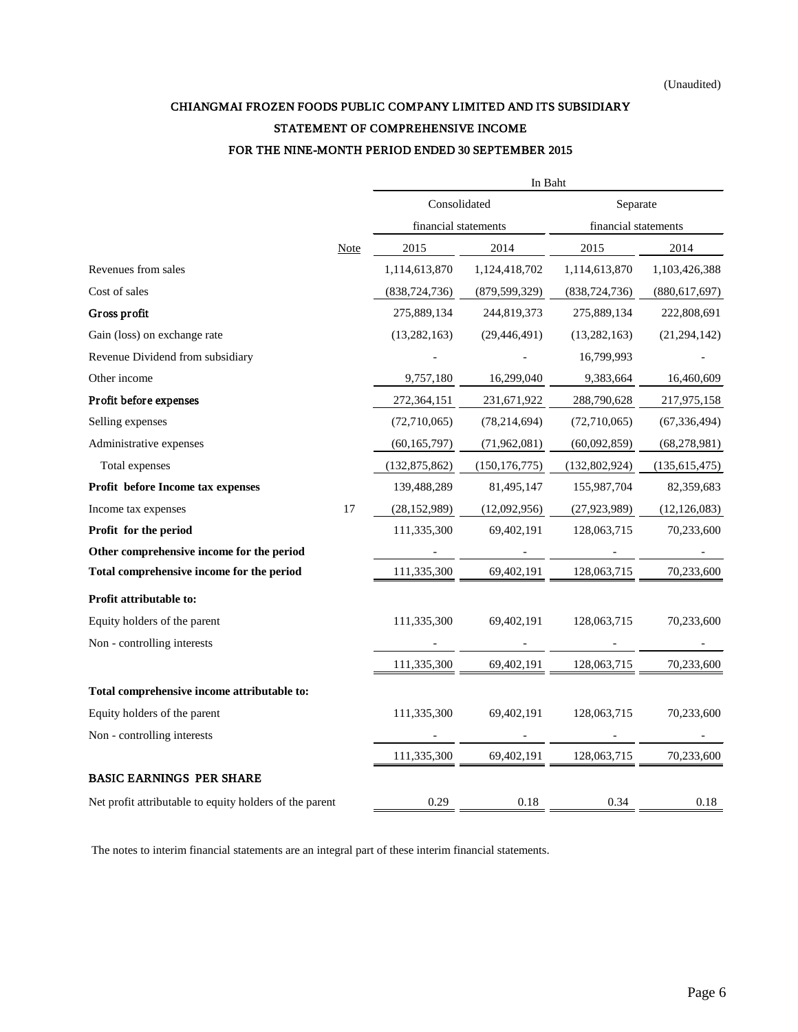## CHIANGMAI FROZEN FOODS PUBLIC COMPANY LIMITED AND ITS SUBSIDIARY STATEMENT OF COMPREHENSIVE INCOME FOR THE NINE-MONTH PERIOD ENDED 30 SEPTEMBER 2015

|                                                         |             |                      | In Baht         |                      |                 |  |
|---------------------------------------------------------|-------------|----------------------|-----------------|----------------------|-----------------|--|
|                                                         |             | Consolidated         |                 | Separate             |                 |  |
|                                                         |             | financial statements |                 | financial statements |                 |  |
|                                                         | <b>Note</b> | 2015                 | 2014            | 2015                 | 2014            |  |
| Revenues from sales                                     |             | 1,114,613,870        | 1,124,418,702   | 1,114,613,870        | 1,103,426,388   |  |
| Cost of sales                                           |             | (838, 724, 736)      | (879, 599, 329) | (838, 724, 736)      | (880, 617, 697) |  |
| Gross profit                                            |             | 275,889,134          | 244,819,373     | 275,889,134          | 222,808,691     |  |
| Gain (loss) on exchange rate                            |             | (13, 282, 163)       | (29, 446, 491)  | (13, 282, 163)       | (21, 294, 142)  |  |
| Revenue Dividend from subsidiary                        |             |                      |                 | 16,799,993           |                 |  |
| Other income                                            |             | 9,757,180            | 16,299,040      | 9,383,664            | 16,460,609      |  |
| Profit before expenses                                  |             | 272,364,151          | 231,671,922     | 288,790,628          | 217,975,158     |  |
| Selling expenses                                        |             | (72,710,065)         | (78, 214, 694)  | (72,710,065)         | (67, 336, 494)  |  |
| Administrative expenses                                 |             | (60, 165, 797)       | (71,962,081)    | (60,092,859)         | (68, 278, 981)  |  |
| Total expenses                                          |             | (132, 875, 862)      | (150, 176, 775) | (132,802,924)        | (135, 615, 475) |  |
| Profit before Income tax expenses                       |             | 139,488,289          | 81,495,147      | 155,987,704          | 82,359,683      |  |
| Income tax expenses                                     | 17          | (28, 152, 989)       | (12,092,956)    | (27, 923, 989)       | (12, 126, 083)  |  |
| Profit for the period                                   |             | 111,335,300          | 69,402,191      | 128,063,715          | 70,233,600      |  |
| Other comprehensive income for the period               |             |                      |                 |                      |                 |  |
| Total comprehensive income for the period               |             | 111,335,300          | 69,402,191      | 128,063,715          | 70,233,600      |  |
| Profit attributable to:                                 |             |                      |                 |                      |                 |  |
| Equity holders of the parent                            |             | 111,335,300          | 69,402,191      | 128,063,715          | 70,233,600      |  |
| Non - controlling interests                             |             |                      |                 |                      |                 |  |
|                                                         |             | 111,335,300          | 69,402,191      | 128,063,715          | 70,233,600      |  |
| Total comprehensive income attributable to:             |             |                      |                 |                      |                 |  |
| Equity holders of the parent                            |             | 111,335,300          | 69,402,191      | 128,063,715          | 70,233,600      |  |
| Non - controlling interests                             |             |                      |                 |                      |                 |  |
|                                                         |             | 111,335,300          | 69,402,191      | 128,063,715          | 70,233,600      |  |
| <b>BASIC EARNINGS PER SHARE</b>                         |             |                      |                 |                      |                 |  |
| Net profit attributable to equity holders of the parent |             | 0.29                 | 0.18            | 0.34                 | 0.18            |  |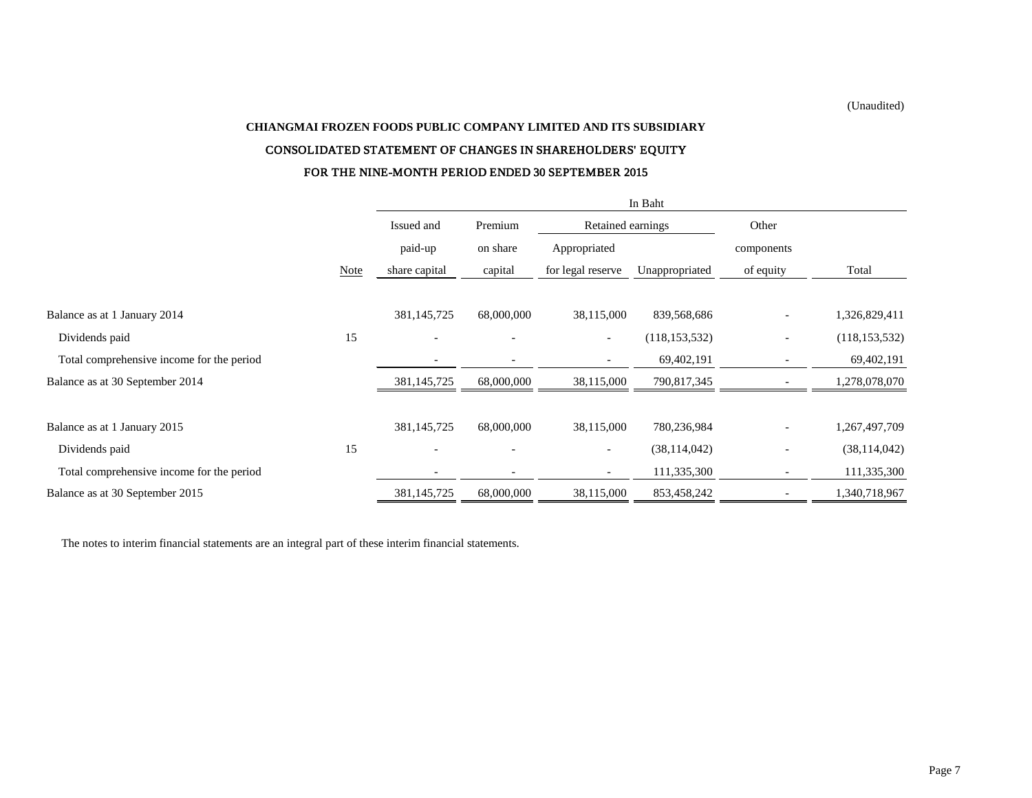(Unaudited)

# **CHIANGMAI FROZEN FOODS PUBLIC COMPANY LIMITED AND ITS SUBSIDIARY** CONSOLIDATED STATEMENT OF CHANGES IN SHAREHOLDERS' EQUITY FOR THE NINE-MONTH PERIOD ENDED 30 SEPTEMBER 2015

|                                           |      | In Baht                  |            |                   |                 |                          |                 |  |
|-------------------------------------------|------|--------------------------|------------|-------------------|-----------------|--------------------------|-----------------|--|
|                                           |      | Issued and               | Premium    | Retained earnings |                 | Other                    |                 |  |
|                                           |      | paid-up                  | on share   | Appropriated      |                 | components               |                 |  |
|                                           | Note | share capital            | capital    | for legal reserve | Unappropriated  | of equity                | Total           |  |
|                                           |      |                          |            |                   |                 |                          |                 |  |
| Balance as at 1 January 2014              |      | 381,145,725              | 68,000,000 | 38,115,000        | 839,568,686     | $\overline{a}$           | 1,326,829,411   |  |
| Dividends paid                            | 15   | $\overline{\phantom{0}}$ |            | $ \,$             | (118, 153, 532) | $\overline{\phantom{0}}$ | (118, 153, 532) |  |
| Total comprehensive income for the period |      |                          |            |                   | 69,402,191      | $\overline{\phantom{a}}$ | 69,402,191      |  |
| Balance as at 30 September 2014           |      | 381,145,725              | 68,000,000 | 38,115,000        | 790,817,345     |                          | 1,278,078,070   |  |
|                                           |      |                          |            |                   |                 |                          |                 |  |
| Balance as at 1 January 2015              |      | 381,145,725              | 68,000,000 | 38,115,000        | 780,236,984     |                          | 1,267,497,709   |  |
| Dividends paid                            | 15   |                          |            |                   | (38, 114, 042)  | $\overline{\phantom{0}}$ | (38, 114, 042)  |  |
| Total comprehensive income for the period |      |                          |            |                   | 111,335,300     |                          | 111,335,300     |  |
| Balance as at 30 September 2015           |      | 381,145,725              | 68,000,000 | 38,115,000        | 853,458,242     |                          | 1,340,718,967   |  |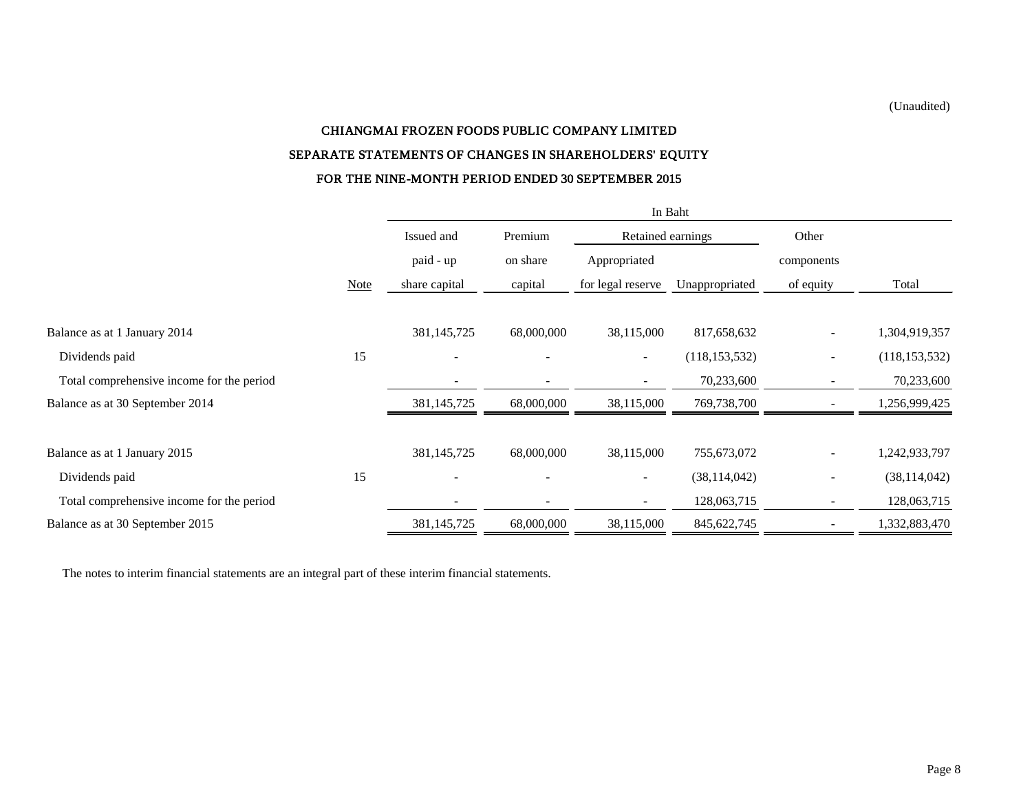(Unaudited)

# CHIANGMAI FROZEN FOODS PUBLIC COMPANY LIMITED SEPARATE STATEMENTS OF CHANGES IN SHAREHOLDERS' EQUITY FOR THE NINE-MONTH PERIOD ENDED 30 SEPTEMBER 2015

|                                           |             | In Baht                  |                          |                          |                 |                          |                 |  |  |
|-------------------------------------------|-------------|--------------------------|--------------------------|--------------------------|-----------------|--------------------------|-----------------|--|--|
|                                           |             | Issued and               | Premium                  | Retained earnings        |                 | Other                    |                 |  |  |
|                                           |             | paid - up                | on share                 | Appropriated             |                 | components               |                 |  |  |
|                                           | <b>Note</b> | share capital            | capital                  | for legal reserve        | Unappropriated  | of equity                | Total           |  |  |
| Balance as at 1 January 2014              |             | 381,145,725              | 68,000,000               | 38,115,000               | 817,658,632     |                          | 1,304,919,357   |  |  |
| Dividends paid                            | 15          | $\overline{\phantom{a}}$ | $\overline{\phantom{a}}$ | $\overline{\phantom{a}}$ | (118, 153, 532) | $\overline{\phantom{a}}$ | (118, 153, 532) |  |  |
| Total comprehensive income for the period |             |                          |                          | $\overline{\phantom{a}}$ | 70,233,600      |                          | 70,233,600      |  |  |
| Balance as at 30 September 2014           |             | 381, 145, 725            | 68,000,000               | 38,115,000               | 769,738,700     |                          | 1,256,999,425   |  |  |
| Balance as at 1 January 2015              |             | 381,145,725              | 68,000,000               | 38,115,000               | 755,673,072     |                          | 1,242,933,797   |  |  |
| Dividends paid                            | 15          |                          |                          | $\overline{\phantom{a}}$ | (38, 114, 042)  | $\overline{\phantom{a}}$ | (38, 114, 042)  |  |  |
| Total comprehensive income for the period |             |                          |                          | $\sim$                   | 128,063,715     |                          | 128,063,715     |  |  |
| Balance as at 30 September 2015           |             | 381,145,725              | 68,000,000               | 38,115,000               | 845, 622, 745   |                          | 1,332,883,470   |  |  |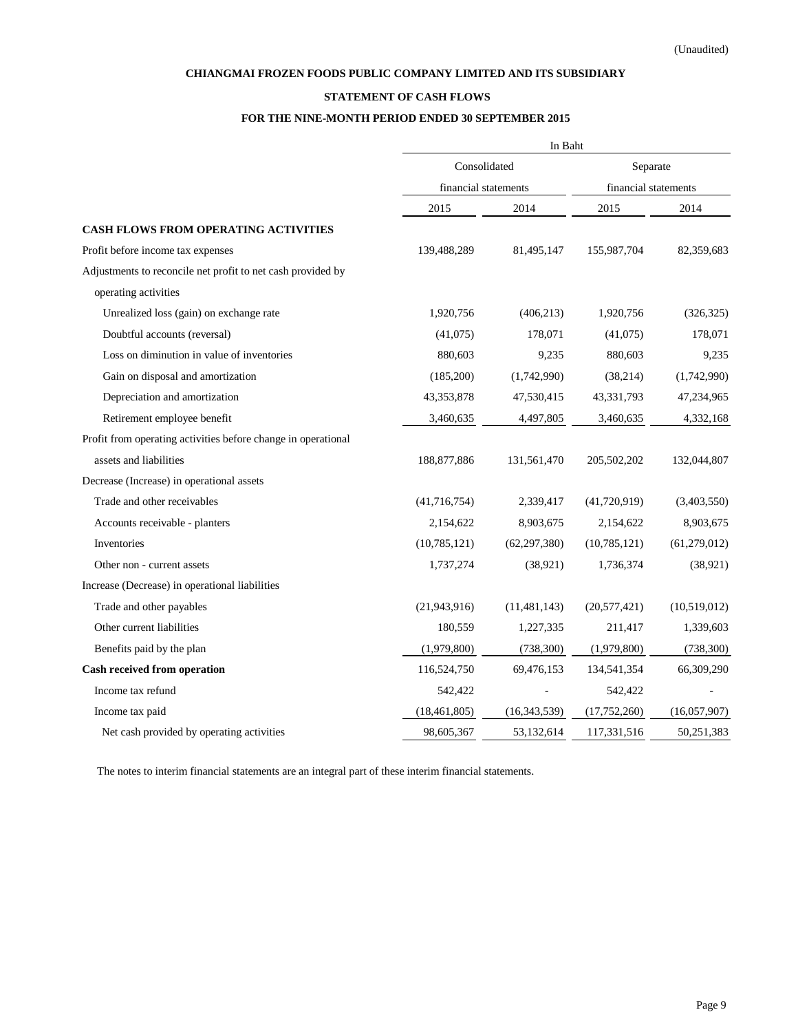### **STATEMENT OF CASH FLOWS**

### **FOR THE NINE-MONTH PERIOD ENDED 30 SEPTEMBER 2015**

|                                                               | In Baht              |                |                      |              |  |  |
|---------------------------------------------------------------|----------------------|----------------|----------------------|--------------|--|--|
|                                                               | Consolidated         |                | Separate             |              |  |  |
|                                                               | financial statements |                | financial statements |              |  |  |
|                                                               | 2015                 | 2014           | 2015                 | 2014         |  |  |
| <b>CASH FLOWS FROM OPERATING ACTIVITIES</b>                   |                      |                |                      |              |  |  |
| Profit before income tax expenses                             | 139,488,289          | 81,495,147     | 155,987,704          | 82,359,683   |  |  |
| Adjustments to reconcile net profit to net cash provided by   |                      |                |                      |              |  |  |
| operating activities                                          |                      |                |                      |              |  |  |
| Unrealized loss (gain) on exchange rate                       | 1,920,756            | (406, 213)     | 1,920,756            | (326, 325)   |  |  |
| Doubtful accounts (reversal)                                  | (41,075)             | 178,071        | (41,075)             | 178,071      |  |  |
| Loss on diminution in value of inventories                    | 880,603              | 9,235          | 880,603              | 9,235        |  |  |
| Gain on disposal and amortization                             | (185,200)            | (1,742,990)    | (38,214)             | (1,742,990)  |  |  |
| Depreciation and amortization                                 | 43, 353, 878         | 47,530,415     | 43,331,793           | 47,234,965   |  |  |
| Retirement employee benefit                                   | 3,460,635            | 4,497,805      | 3,460,635            | 4,332,168    |  |  |
| Profit from operating activities before change in operational |                      |                |                      |              |  |  |
| assets and liabilities                                        | 188, 877, 886        | 131,561,470    | 205,502,202          | 132,044,807  |  |  |
| Decrease (Increase) in operational assets                     |                      |                |                      |              |  |  |
| Trade and other receivables                                   | (41, 716, 754)       | 2,339,417      | (41,720,919)         | (3,403,550)  |  |  |
| Accounts receivable - planters                                | 2,154,622            | 8,903,675      | 2,154,622            | 8,903,675    |  |  |
| Inventories                                                   | (10,785,121)         | (62, 297, 380) | (10, 785, 121)       | (61,279,012) |  |  |
| Other non - current assets                                    | 1,737,274            | (38, 921)      | 1,736,374            | (38, 921)    |  |  |
| Increase (Decrease) in operational liabilities                |                      |                |                      |              |  |  |
| Trade and other payables                                      | (21, 943, 916)       | (11, 481, 143) | (20, 577, 421)       | (10,519,012) |  |  |
| Other current liabilities                                     | 180,559              | 1,227,335      | 211,417              | 1,339,603    |  |  |
| Benefits paid by the plan                                     | (1,979,800)          | (738, 300)     | (1,979,800)          | (738, 300)   |  |  |
| <b>Cash received from operation</b>                           | 116,524,750          | 69,476,153     | 134,541,354          | 66,309,290   |  |  |
| Income tax refund                                             | 542,422              |                | 542,422              |              |  |  |
| Income tax paid                                               | (18, 461, 805)       | (16, 343, 539) | (17,752,260)         | (16,057,907) |  |  |
| Net cash provided by operating activities                     | 98,605,367           | 53,132,614     | 117,331,516          | 50,251,383   |  |  |